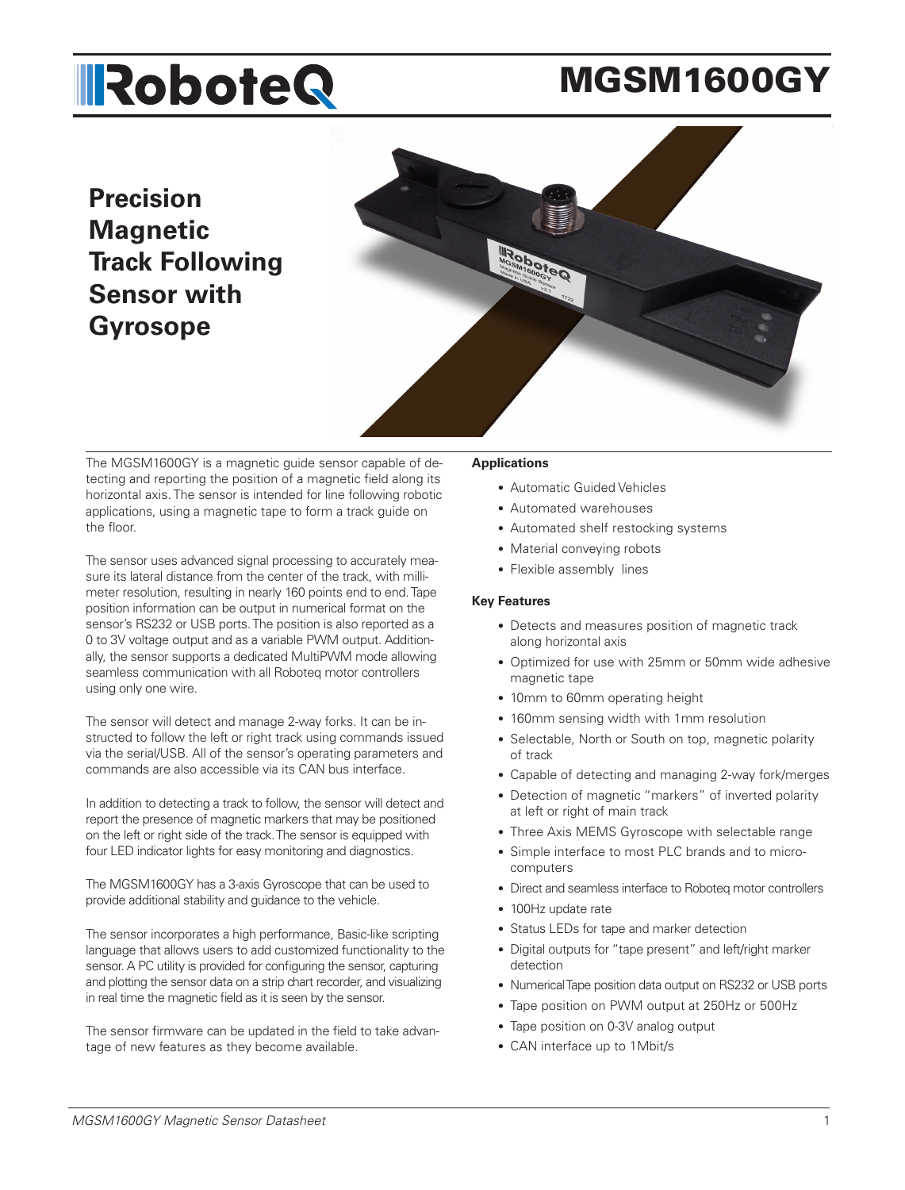# **IRoboteQ**

# MGSM1600GY

# **Precision Magnetic Track Following Sensor with Gyrosope**



The MGSM1600GY is a magnetic guide sensor capable of detecting and reporting the position of a magnetic field along its horizontal axis. The sensor is intended for line following robotic applications, using a magnetic tape to form a track guide on the floor.

The sensor uses advanced signal processing to accurately measure its lateral distance from the center of the track, with millimeter resolution, resulting in nearly 160 points end to end. Tape position information can be output in numerical format on the sensor's RS232 or USB ports. The position is also reported as a 0 to 3V voltage output and as a variable PWM output. Additionally, the sensor supports a dedicated MultiPWM mode allowing seamless communication with all Roboteq motor controllers using only one wire.

The sensor will detect and manage 2-way forks. It can be instructed to follow the left or right track using commands issued via the serial/USB. All of the sensor's operating parameters and commands are also accessible via its CAN bus interface.

In addition to detecting a track to follow, the sensor will detect and report the presence of magnetic markers that may be positioned on the left or right side of the track. The sensor is equipped with four LED indicator lights for easy monitoring and diagnostics.

The MGSM1600GY has a 3-axis Gyroscope that can be used to provide additional stability and guidance to the vehicle.

The sensor incorporates a high performance, Basic-like scripting language that allows users to add customized functionality to the sensor. A PC utility is provided for configuring the sensor, capturing and plotting the sensor data on a strip chart recorder, and visualizing in real time the magnetic field as it is seen by the sensor.

The sensor firmware can be updated in the field to take advantage of new features as they become available.

#### **Applications**

- Automatic Guided Vehicles
- Automated warehouses
- Automated shelf restocking systems
- Material conveying robots
- Flexible assembly lines

#### **Key Features**

- Detects and measures position of magnetic track along horizontal axis
- Optimized for use with 25mm or 50mm wide adhesive magnetic tape
- 10mm to 60mm operating height
- 160mm sensing width with 1mm resolution
- Selectable, North or South on top, magnetic polarity of track
- Capable of detecting and managing 2-way fork/merges
- Detection of magnetic "markers" of inverted polarity at left or right of main track
- Three Axis MEMS Gyroscope with selectable range
- Simple interface to most PLC brands and to microcomputers
- Direct and seamless interface to Roboteq motor controllers
- 100Hz update rate
- Status LEDs for tape and marker detection
- Digital outputs for "tape present" and left/right marker detection
- Numerical Tape position data output on RS232 or USB ports
- Tape position on PWM output at 250Hz or 500Hz
- Tape position on 0-3V analog output
- CAN interface up to 1Mbit/s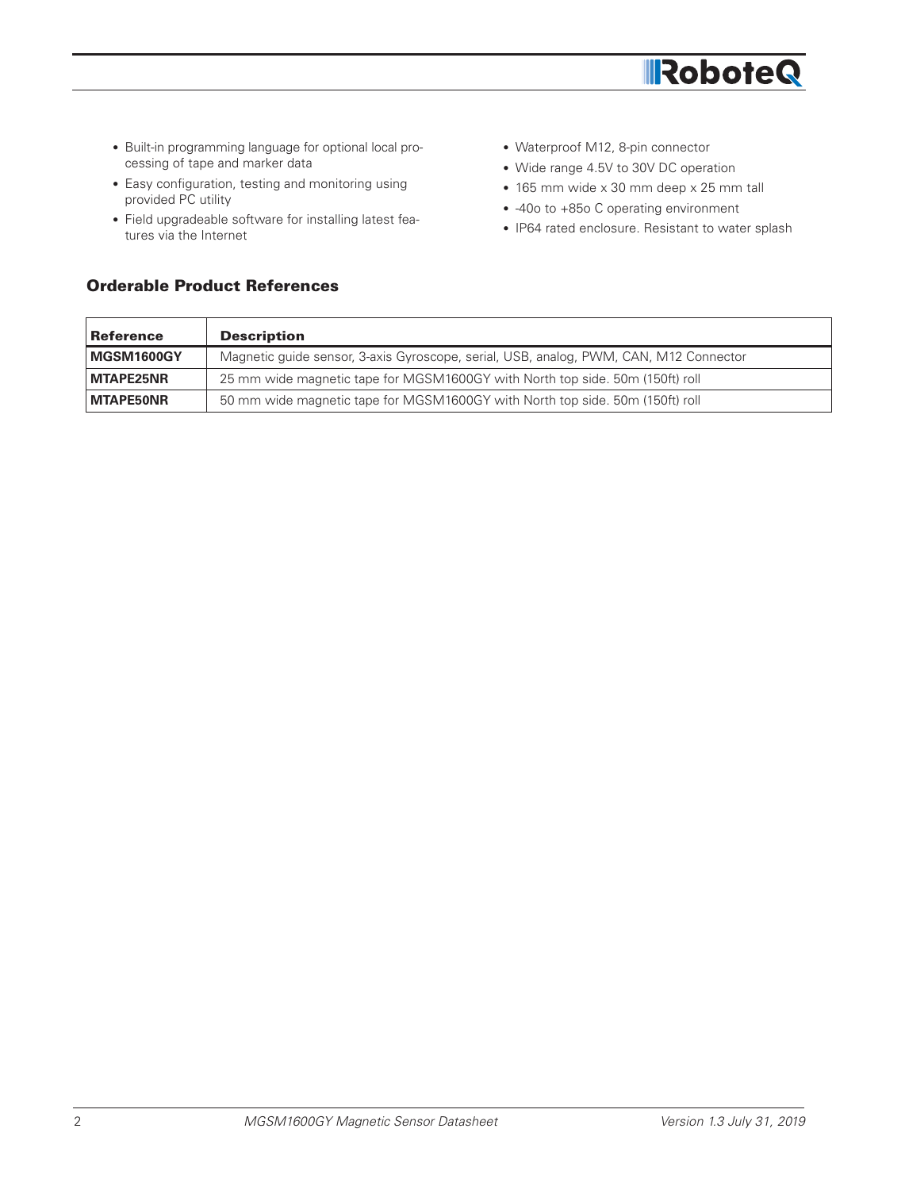

- Built-in programming language for optional local processing of tape and marker data
- Easy configuration, testing and monitoring using provided PC utility
- Field upgradeable software for installing latest features via the Internet
- Waterproof M12, 8-pin connector
- Wide range 4.5V to 30V DC operation
- 165 mm wide x 30 mm deep x 25 mm tall
- -40o to +85o C operating environment
- IP64 rated enclosure. Resistant to water splash

| <b>Reference</b> | <b>Description</b>                                                                    |
|------------------|---------------------------------------------------------------------------------------|
| MGSM1600GY       | Magnetic guide sensor, 3-axis Gyroscope, serial, USB, analog, PWM, CAN, M12 Connector |
| <b>MTAPE25NR</b> | 25 mm wide magnetic tape for MGSM1600GY with North top side. 50m (150ft) roll         |
| <b>MTAPE50NR</b> | 50 mm wide magnetic tape for MGSM1600GY with North top side. 50m (150ft) roll         |

# Orderable Product References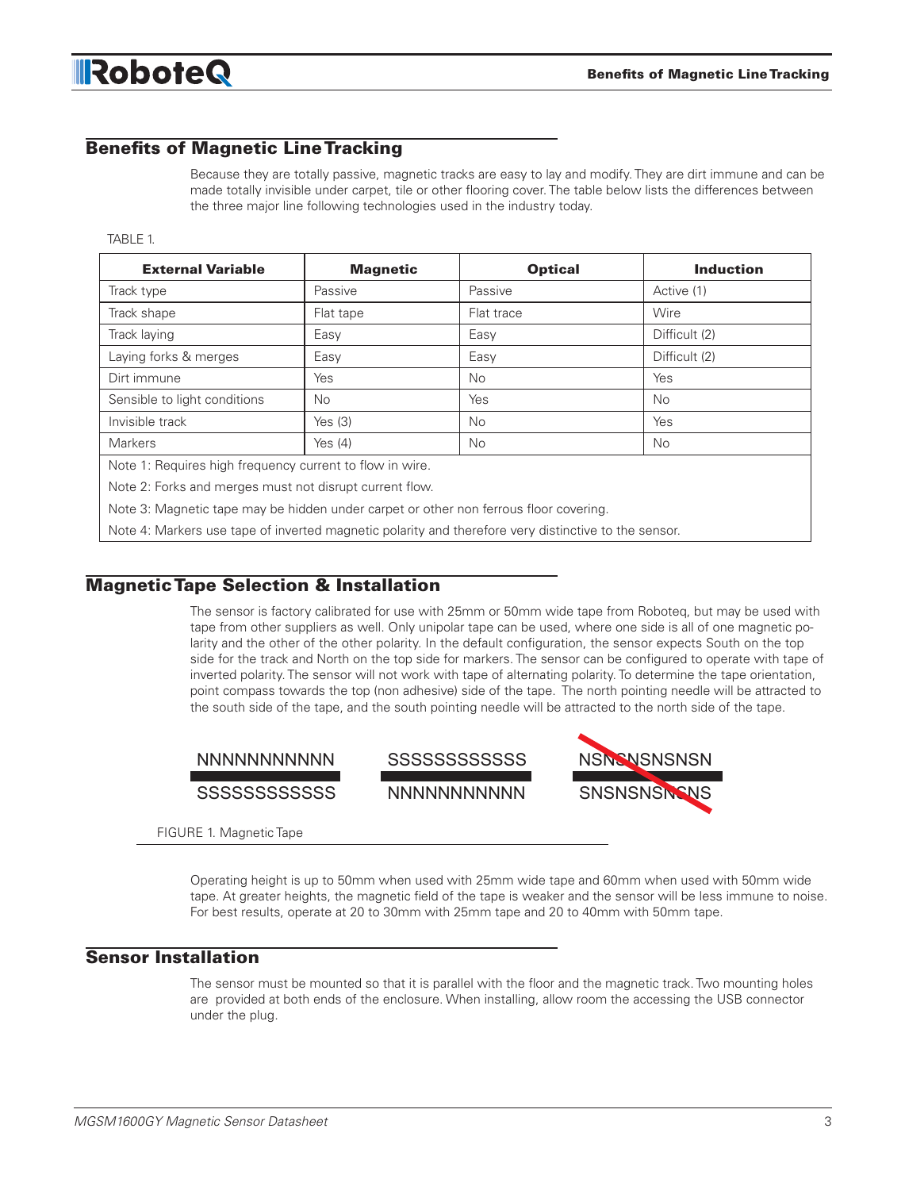# Benefits of Magnetic Line Tracking

Because they are totally passive, magnetic tracks are easy to lay and modify. They are dirt immune and can be made totally invisible under carpet, tile or other flooring cover. The table below lists the differences between the three major line following technologies used in the industry today.

#### TABLE 1.

| <b>External Variable</b>                                 | <b>Magnetic</b> | <b>Optical</b> | <b>Induction</b> |
|----------------------------------------------------------|-----------------|----------------|------------------|
| Track type                                               | Passive         | Passive        | Active (1)       |
| Track shape                                              | Flat tape       | Flat trace     | Wire             |
| Track laying                                             | Easy            | Easy           | Difficult (2)    |
| Laying forks & merges                                    | Easy            | Easy           | Difficult (2)    |
| Dirt immune                                              | Yes             | No.            | Yes              |
| Sensible to light conditions                             | No.             | Yes            | <b>No</b>        |
| Invisible track                                          | Yes $(3)$       | <b>No</b>      | Yes              |
| <b>Markers</b>                                           | Yes $(4)$       | No.            | No               |
| Note 1: Requires high frequency current to flow in wire. |                 |                |                  |

Note 2: Forks and merges must not disrupt current flow.

Note 3: Magnetic tape may be hidden under carpet or other non ferrous floor covering.

Note 4: Markers use tape of inverted magnetic polarity and therefore very distinctive to the sensor.

#### Magnetic Tape Selection & Installation

The sensor is factory calibrated for use with 25mm or 50mm wide tape from Roboteq, but may be used with tape from other suppliers as well. Only unipolar tape can be used, where one side is all of one magnetic polarity and the other of the other polarity. In the default configuration, the sensor expects South on the top side for the track and North on the top side for markers. The sensor can be configured to operate with tape of inverted polarity. The sensor will not work with tape of alternating polarity. To determine the tape orientation, point compass towards the top (non adhesive) side of the tape. The north pointing needle will be attracted to the south side of the tape, and the south pointing needle will be attracted to the north side of the tape.





SSSSSSSSSSSS NNNNNNNNNNN



FIGURE 1. Magnetic Tape

Operating height is up to 50mm when used with 25mm wide tape and 60mm when used with 50mm wide tape. At greater heights, the magnetic field of the tape is weaker and the sensor will be less immune to noise. For best results, operate at 20 to 30mm with 25mm tape and 20 to 40mm with 50mm tape.

#### Sensor Installation

The sensor must be mounted so that it is parallel with the floor and the magnetic track. Two mounting holes are provided at both ends of the enclosure. When installing, allow room the accessing the USB connector under the plug.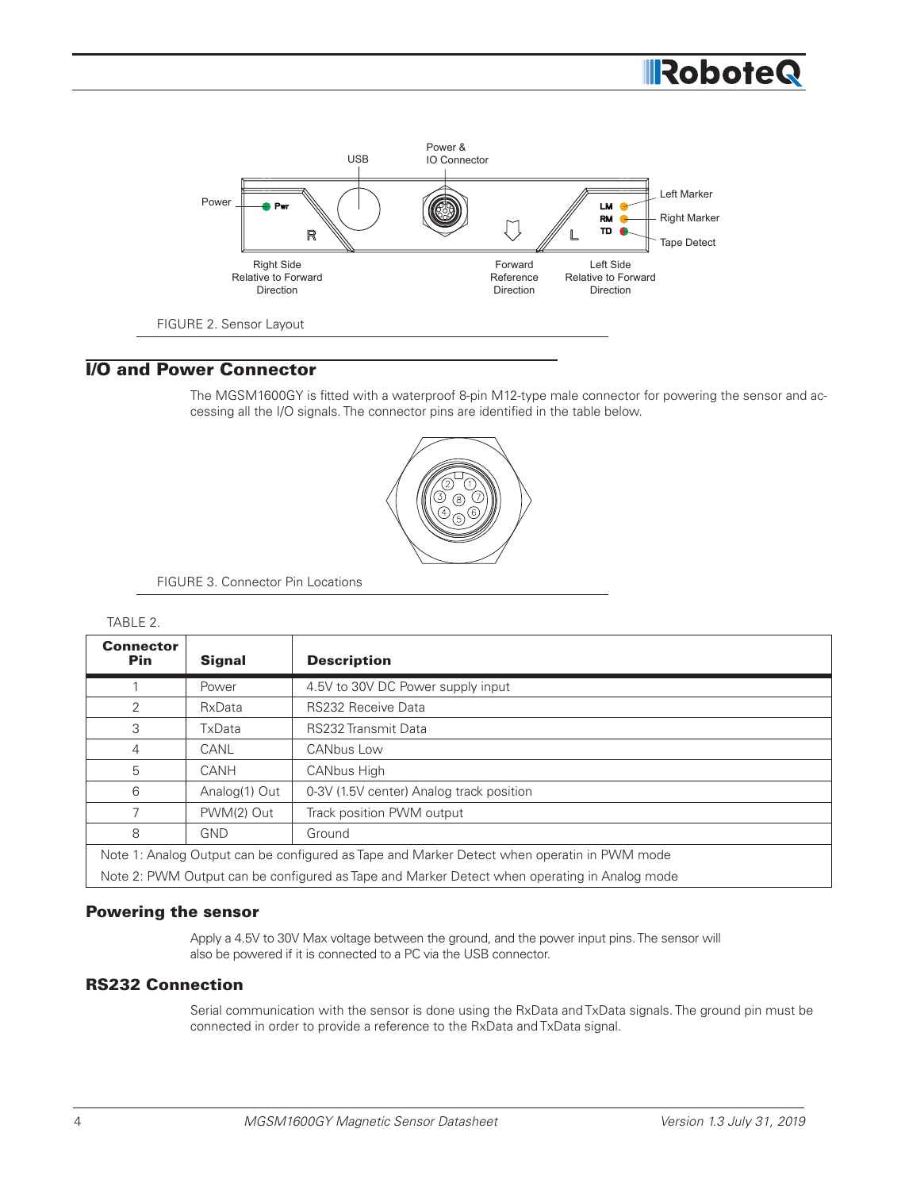

# I/O and Power Connector

The MGSM1600GY is fitted with a waterproof 8-pin M12-type male connector for powering the sensor and accessing all the I/O signals. The connector pins are identified in the table below.



FIGURE 3. Connector Pin Locations

#### TABLE 2.

| <b>Connector</b><br><b>Pin</b>                                                               | <b>Signal</b> | <b>Description</b>                       |  |
|----------------------------------------------------------------------------------------------|---------------|------------------------------------------|--|
|                                                                                              | Power         | 4.5V to 30V DC Power supply input        |  |
| 2                                                                                            | RxData        | <b>RS232 Receive Data</b>                |  |
| 3                                                                                            | TxData        | <b>RS232 Transmit Data</b>               |  |
| 4                                                                                            | CANL          | <b>CANbus Low</b>                        |  |
| 5                                                                                            | CANH          | <b>CANbus High</b>                       |  |
| 6                                                                                            | Analog(1) Out | 0-3V (1.5V center) Analog track position |  |
|                                                                                              | PWM(2) Out    | Track position PWM output                |  |
| 8                                                                                            | <b>GND</b>    | Ground                                   |  |
| Note 1: Analog Output can be configured as Tape and Marker Detect when operatin in PWM mode  |               |                                          |  |
| Note 2: PWM Output can be configured as Tape and Marker Detect when operating in Analog mode |               |                                          |  |

#### Powering the sensor

Apply a 4.5V to 30V Max voltage between the ground, and the power input pins. The sensor will also be powered if it is connected to a PC via the USB connector.

# RS232 Connection

Serial communication with the sensor is done using the RxData and TxData signals. The ground pin must be connected in order to provide a reference to the RxData and TxData signal.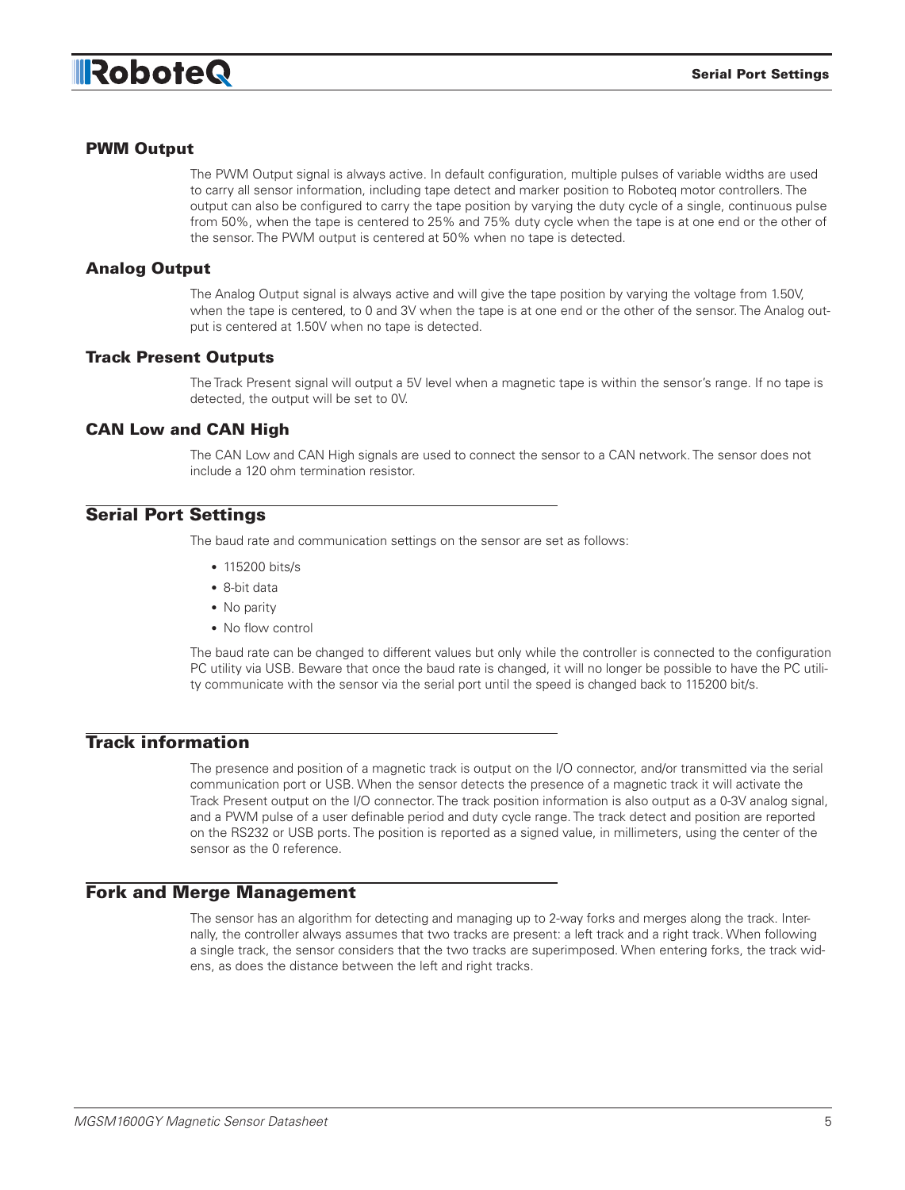

#### PWM Output

The PWM Output signal is always active. In default configuration, multiple pulses of variable widths are used to carry all sensor information, including tape detect and marker position to Roboteq motor controllers. The output can also be configured to carry the tape position by varying the duty cycle of a single, continuous pulse from 50%, when the tape is centered to 25% and 75% duty cycle when the tape is at one end or the other of the sensor. The PWM output is centered at 50% when no tape is detected.

#### Analog Output

The Analog Output signal is always active and will give the tape position by varying the voltage from 1.50V, when the tape is centered, to 0 and 3V when the tape is at one end or the other of the sensor. The Analog output is centered at 1.50V when no tape is detected.

#### Track Present Outputs

The Track Present signal will output a 5V level when a magnetic tape is within the sensor's range. If no tape is detected, the output will be set to 0V.

#### CAN Low and CAN High

The CAN Low and CAN High signals are used to connect the sensor to a CAN network. The sensor does not include a 120 ohm termination resistor.

#### Serial Port Settings

The baud rate and communication settings on the sensor are set as follows:

- 115200 bits/s
- 8-bit data
- No parity
- No flow control

The baud rate can be changed to different values but only while the controller is connected to the configuration PC utility via USB. Beware that once the baud rate is changed, it will no longer be possible to have the PC utility communicate with the sensor via the serial port until the speed is changed back to 115200 bit/s.

### Track information

The presence and position of a magnetic track is output on the I/O connector, and/or transmitted via the serial communication port or USB. When the sensor detects the presence of a magnetic track it will activate the Track Present output on the I/O connector. The track position information is also output as a 0-3V analog signal, and a PWM pulse of a user definable period and duty cycle range. The track detect and position are reported on the RS232 or USB ports. The position is reported as a signed value, in millimeters, using the center of the sensor as the 0 reference.

#### Fork and Merge Management

The sensor has an algorithm for detecting and managing up to 2-way forks and merges along the track. Internally, the controller always assumes that two tracks are present: a left track and a right track. When following a single track, the sensor considers that the two tracks are superimposed. When entering forks, the track widens, as does the distance between the left and right tracks.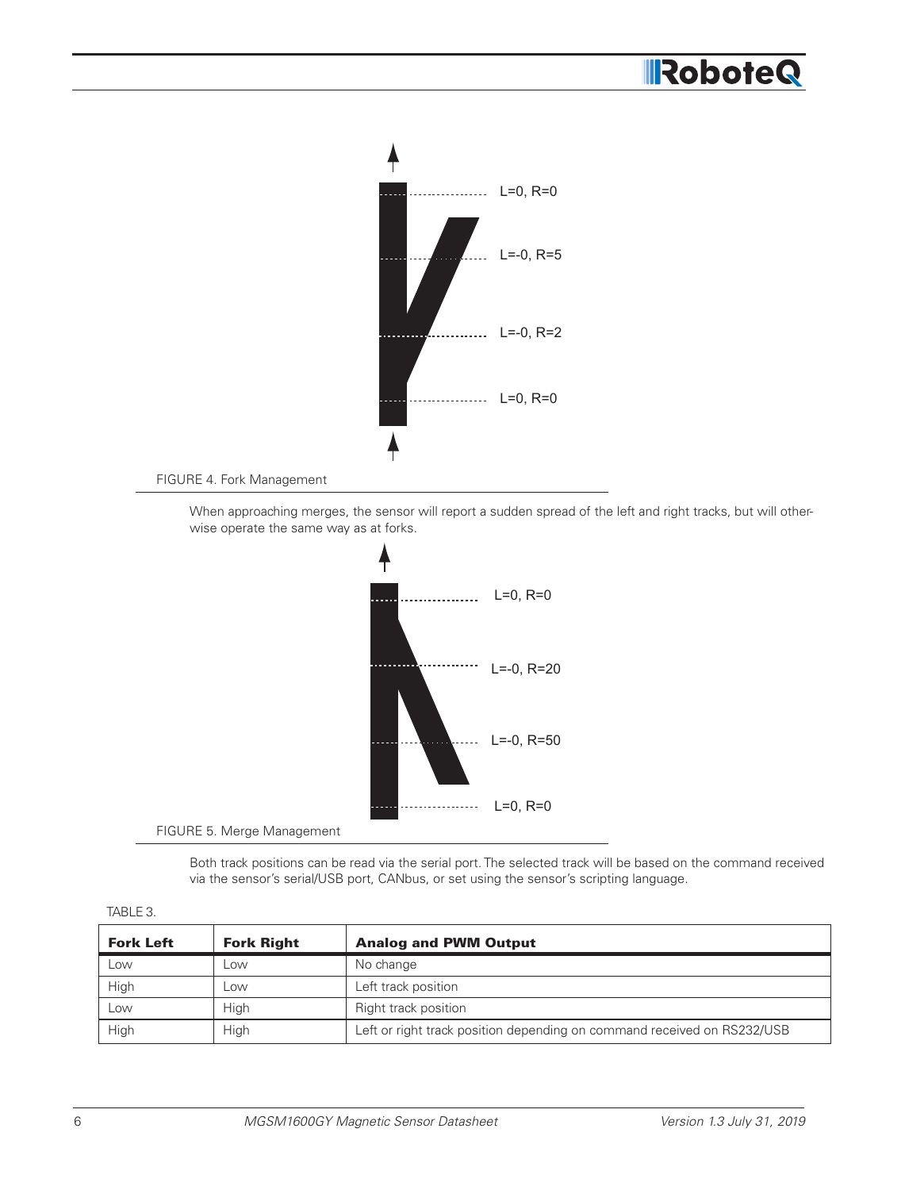# RoboteQ



FIGURE 4. Fork Management

When approaching merges, the sensor will report a sudden spread of the left and right tracks, but will otherwise operate the same way as at forks.



FIGURE 5. Merge Management

Both track positions can be read via the serial port. The selected track will be based on the command received via the sensor's serial/USB port, CANbus, or set using the sensor's scripting language.

| <b>Fork Left</b> | <b>Fork Right</b> | <b>Analog and PWM Output</b>                                            |
|------------------|-------------------|-------------------------------------------------------------------------|
| LOW              | <b>LOW</b>        | No change                                                               |
| High             | LOW               | Left track position                                                     |
| Low              | High              | Right track position                                                    |
| High             | High              | Left or right track position depending on command received on RS232/USB |

TABLE 3.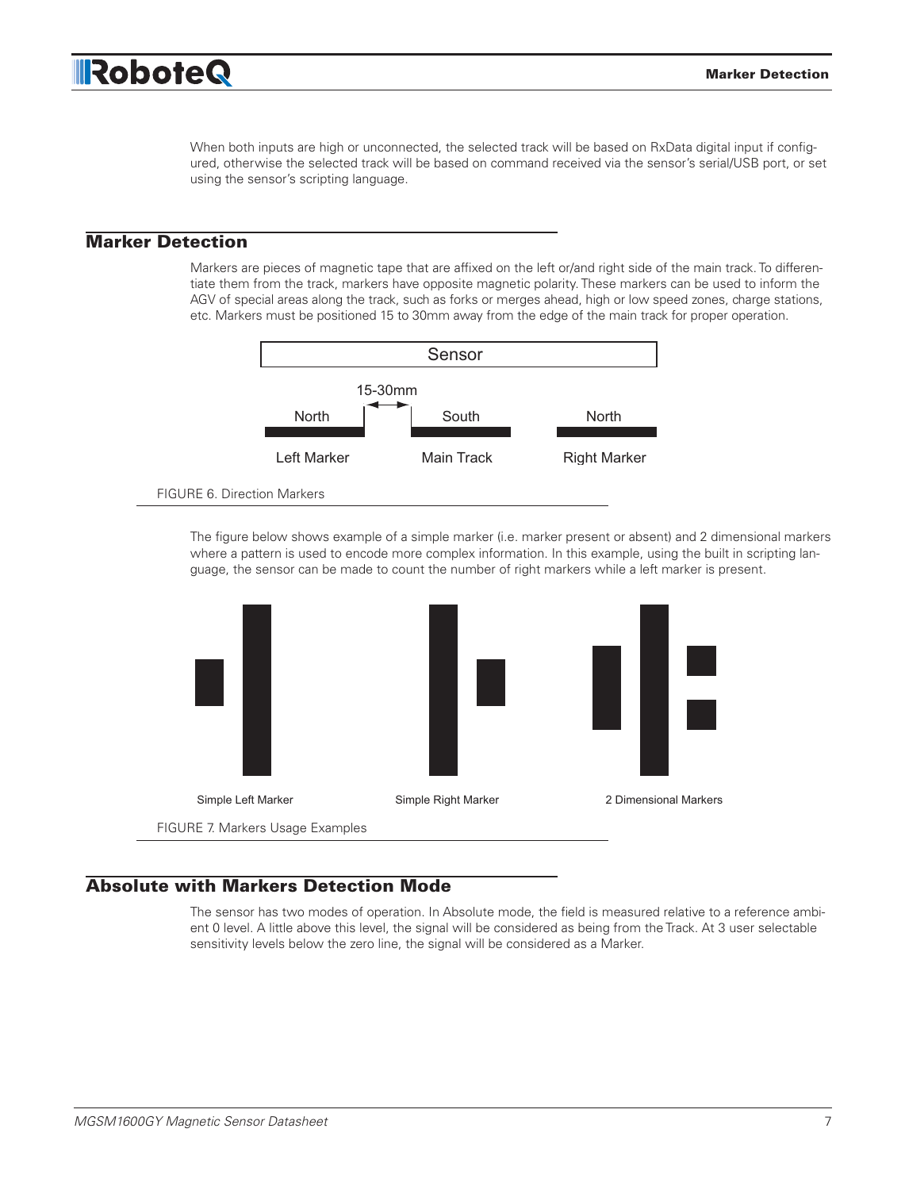

When both inputs are high or unconnected, the selected track will be based on RxData digital input if configured, otherwise the selected track will be based on command received via the sensor's serial/USB port, or set using the sensor's scripting language.

#### Marker Detection

Markers are pieces of magnetic tape that are affixed on the left or/and right side of the main track. To differentiate them from the track, markers have opposite magnetic polarity. These markers can be used to inform the AGV of special areas along the track, such as forks or merges ahead, high or low speed zones, charge stations, etc. Markers must be positioned 15 to 30mm away from the edge of the main track for proper operation.



FIGURE 6. Direction Markers

The figure below shows example of a simple marker (i.e. marker present or absent) and 2 dimensional markers where a pattern is used to encode more complex information. In this example, using the built in scripting language, the sensor can be made to count the number of right markers while a left marker is present.



# Absolute with Markers Detection Mode

ent 0 level. A little above this level, the signal will be considered as being from the Track. At 3 user selectable The sensor has two modes of operation. In Absolute mode, the field is measured relative to a reference ambisensitivity levels below the zero line, the signal will be considered as a Marker.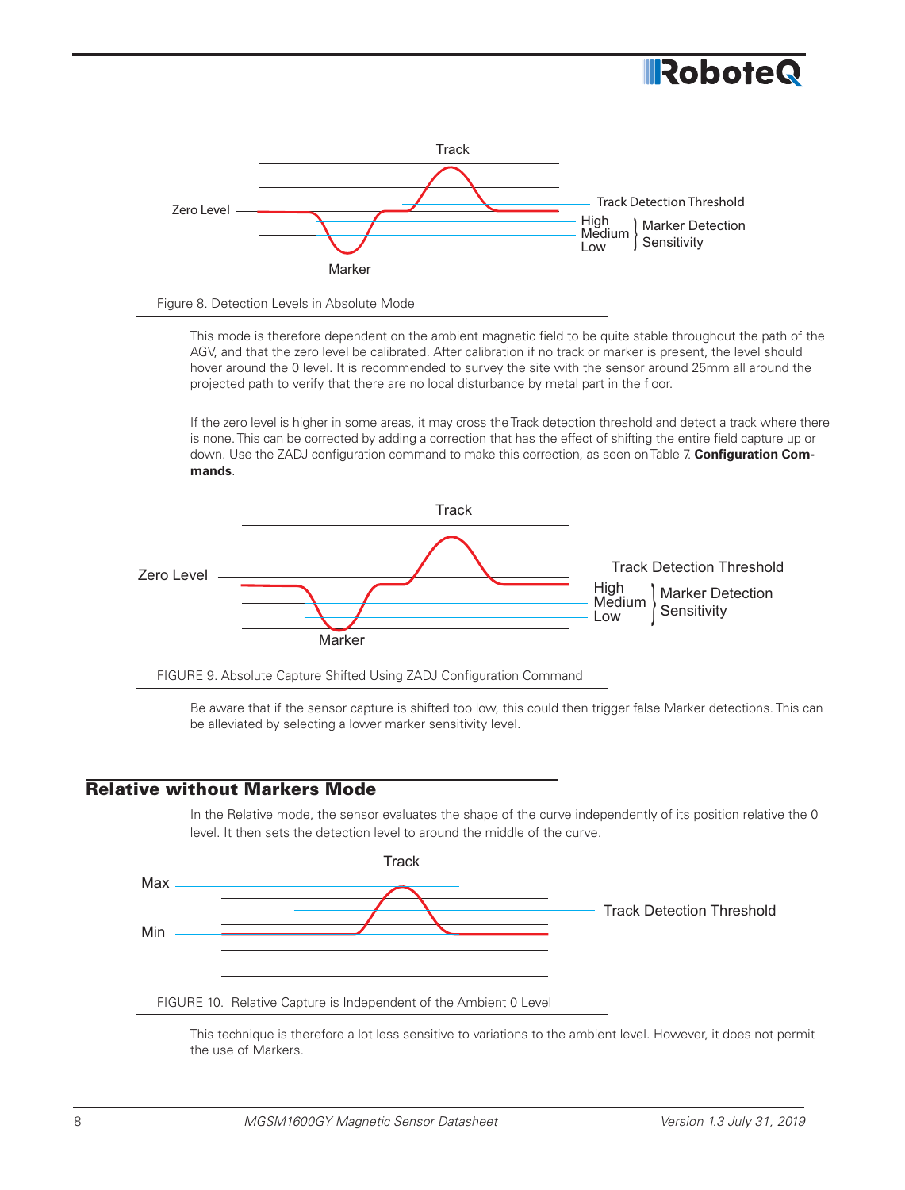



This mode is therefore dependent on the ambient magnetic field to be quite stable throughout the path of the AGV, and that the zero level be calibrated. After calibration if no track or marker is present, the level should hover around the 0 level. It is recommended to survey the site with the sensor around 25mm all around the projected path to verify that there are no local disturbance by metal part in the floor.

If the zero level is higher in some areas, it may cross the Track detection threshold and detect a track where there is none. This can be corrected by adding a correction that has the effect of shifting the entire field capture up or down. Use the ZADJ configuration command to make this correction, as seen on Table 7. **Configuration Commands**.





Be aware that if the sensor capture is shifted too low, this could then trigger false Marker detections. This can be alleviated by selecting a lower marker sensitivity level.

# Relative without Markers Mode

In the Relative mode, the sensor evaluates the shape of the curve independently of its position relative the 0 level. It then sets the detection level to around the middle of the curve.



This technique is therefore a lot less sensitive to variations to the ambient level. However, it does not permit the use of Markers.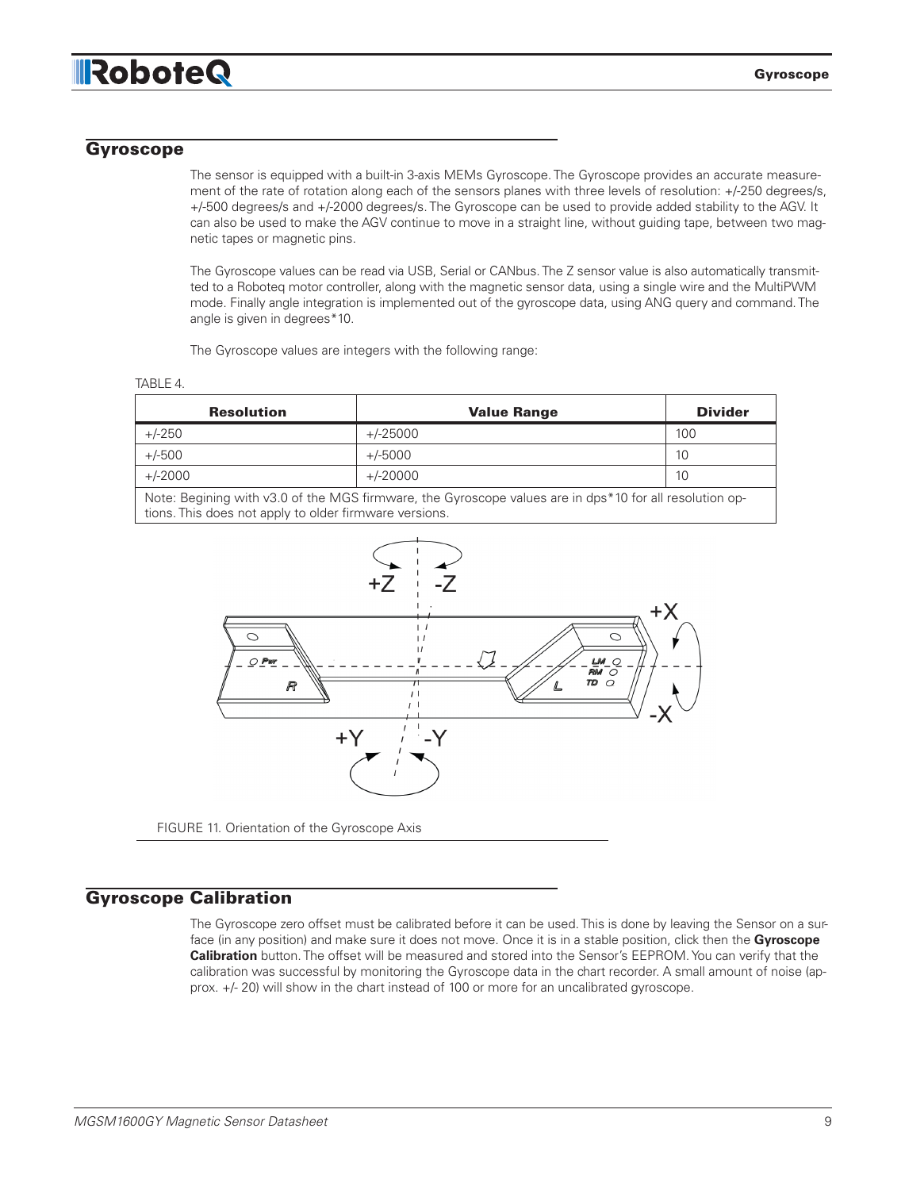# **IRoboteQ**

TABLE 4.

#### Gyroscope

The sensor is equipped with a built-in 3-axis MEMs Gyroscope. The Gyroscope provides an accurate measurement of the rate of rotation along each of the sensors planes with three levels of resolution: +/-250 degrees/s, +/-500 degrees/s and +/-2000 degrees/s. The Gyroscope can be used to provide added stability to the AGV. It can also be used to make the AGV continue to move in a straight line, without guiding tape, between two magnetic tapes or magnetic pins.

The Gyroscope values can be read via USB, Serial or CANbus. The Z sensor value is also automatically transmitted to a Roboteq motor controller, along with the magnetic sensor data, using a single wire and the MultiPWM mode. Finally angle integration is implemented out of the gyroscope data, using ANG query and command. The angle is given in degrees\*10.

The Gyroscope values are integers with the following range:

| <b>Resolution</b> | <b>Value Range</b>                                                                                    | <b>Divider</b> |
|-------------------|-------------------------------------------------------------------------------------------------------|----------------|
| $+/-250$          | +/-25000                                                                                              | 100            |
| $+/-500$          | +/-5000                                                                                               | 10             |
| $+/-2000$         | +/-20000                                                                                              | 10             |
|                   | Note: Regining with us 0 of the MGS firmware the Gyroscone values are in dos*10 for all resolution on |                |

Note: Begining with v3.0 of the MGS firmware, the Gyroscope values are in dps\*10 for all resolution options. This does not apply to older firmware versions.



### Gyroscope Calibration

The Gyroscope zero offset must be calibrated before it can be used. This is done by leaving the Sensor on a surface (in any position) and make sure it does not move. Once it is in a stable position, click then the **Gyroscope Calibration** button. The offset will be measured and stored into the Sensor's EEPROM. You can verify that the calibration was successful by monitoring the Gyroscope data in the chart recorder. A small amount of noise (approx. +/- 20) will show in the chart instead of 100 or more for an uncalibrated gyroscope.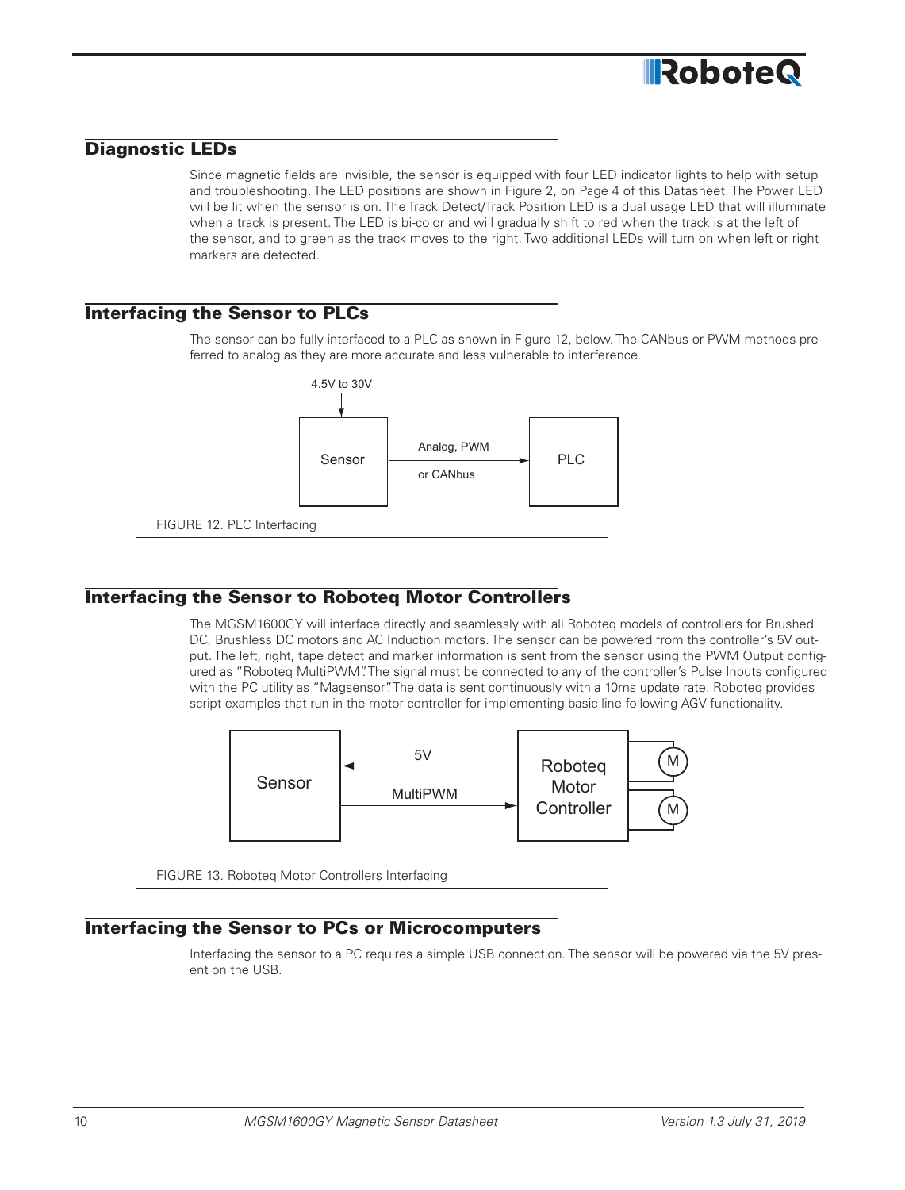

## Diagnostic LEDs

Since magnetic fields are invisible, the sensor is equipped with four LED indicator lights to help with setup and troubleshooting. The LED positions are shown in Figure 2, on Page 4 of this Datasheet. The Power LED will be lit when the sensor is on. The Track Detect/Track Position LED is a dual usage LED that will illuminate when a track is present. The LED is bi-color and will gradually shift to red when the track is at the left of the sensor, and to green as the track moves to the right. Two additional LEDs will turn on when left or right markers are detected.

#### Interfacing the Sensor to PLCs

The sensor can be fully interfaced to a PLC as shown in Figure 12, below. The CANbus or PWM methods preferred to analog as they are more accurate and less vulnerable to interference.



### Interfacing the Sensor to Roboteq Motor Controllers

The MGSM1600GY will interface directly and seamlessly with all Roboteq models of controllers for Brushed DC, Brushless DC motors and AC Induction motors. The sensor can be powered from the controller's 5V output. The left, right, tape detect and marker information is sent from the sensor using the PWM Output configured as "Roboteq MultiPWM". The signal must be connected to any of the controller's Pulse Inputs configured with the PC utility as "Magsensor". The data is sent continuously with a 10ms update rate. Roboteq provides script examples that run in the motor controller for implementing basic line following AGV functionality.



FIGURE 13. Roboteq Motor Controllers Interfacing

### Interfacing the Sensor to PCs or Microcomputers

Interfacing the sensor to a PC requires a simple USB connection. The sensor will be powered via the 5V present on the USB.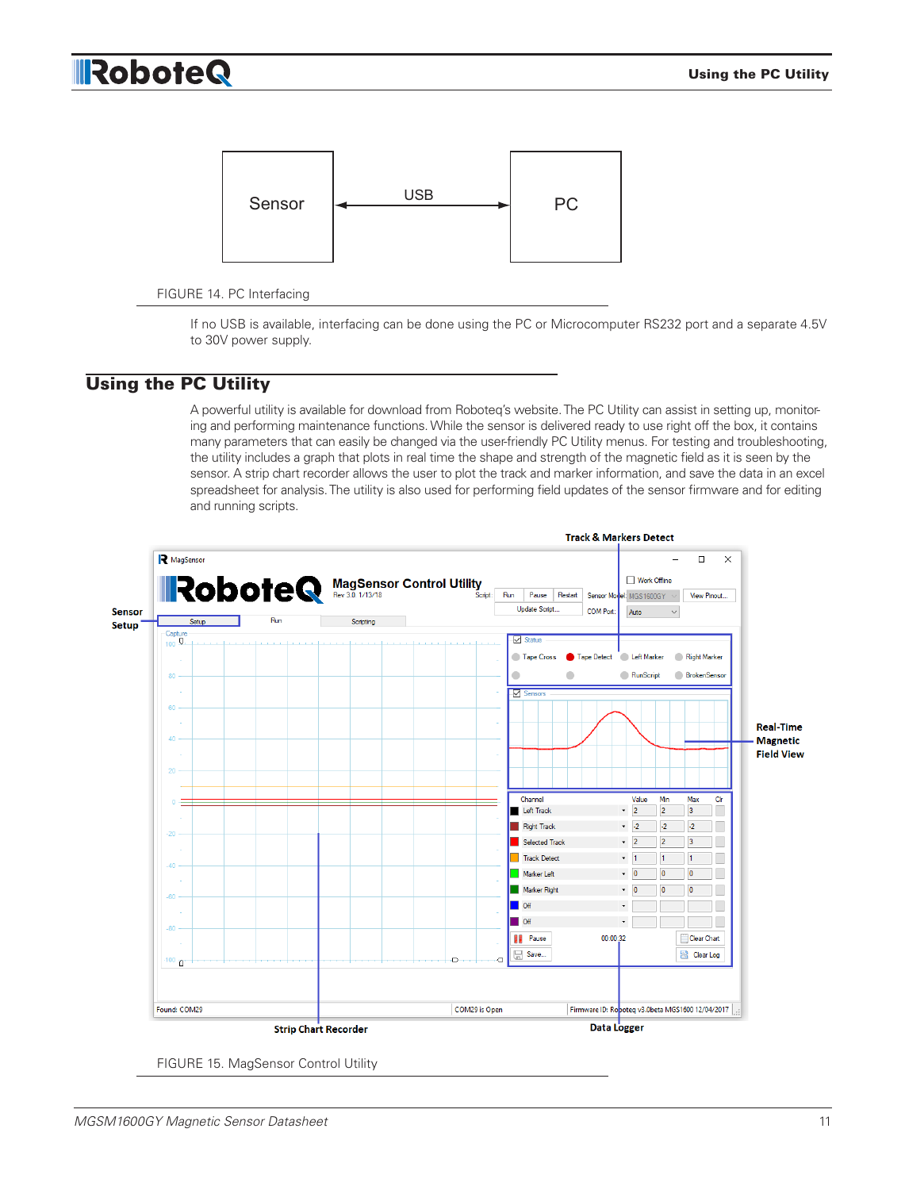#### Using the PC Utility

# **IRoboteQ**



#### FIGURE 14. PC Interfacing

If no USB is available, interfacing can be done using the PC or Microcomputer RS232 port and a separate 4.5V to 30V power supply.

### Using the PC Utility

A powerful utility is available for download from Roboteq's website. The PC Utility can assist in setting up, monitoring and performing maintenance functions. While the sensor is delivered ready to use right off the box, it contains many parameters that can easily be changed via the user-friendly PC Utility menus. For testing and troubleshooting, the utility includes a graph that plots in real time the shape and strength of the magnetic field as it is seen by the sensor. A strip chart recorder allows the user to plot the track and marker information, and save the data in an excel spreadsheet for analysis. The utility is also used for performing field updates of the sensor firmware and for editing and running scripts.



FIGURE 15. MagSensor Control Utility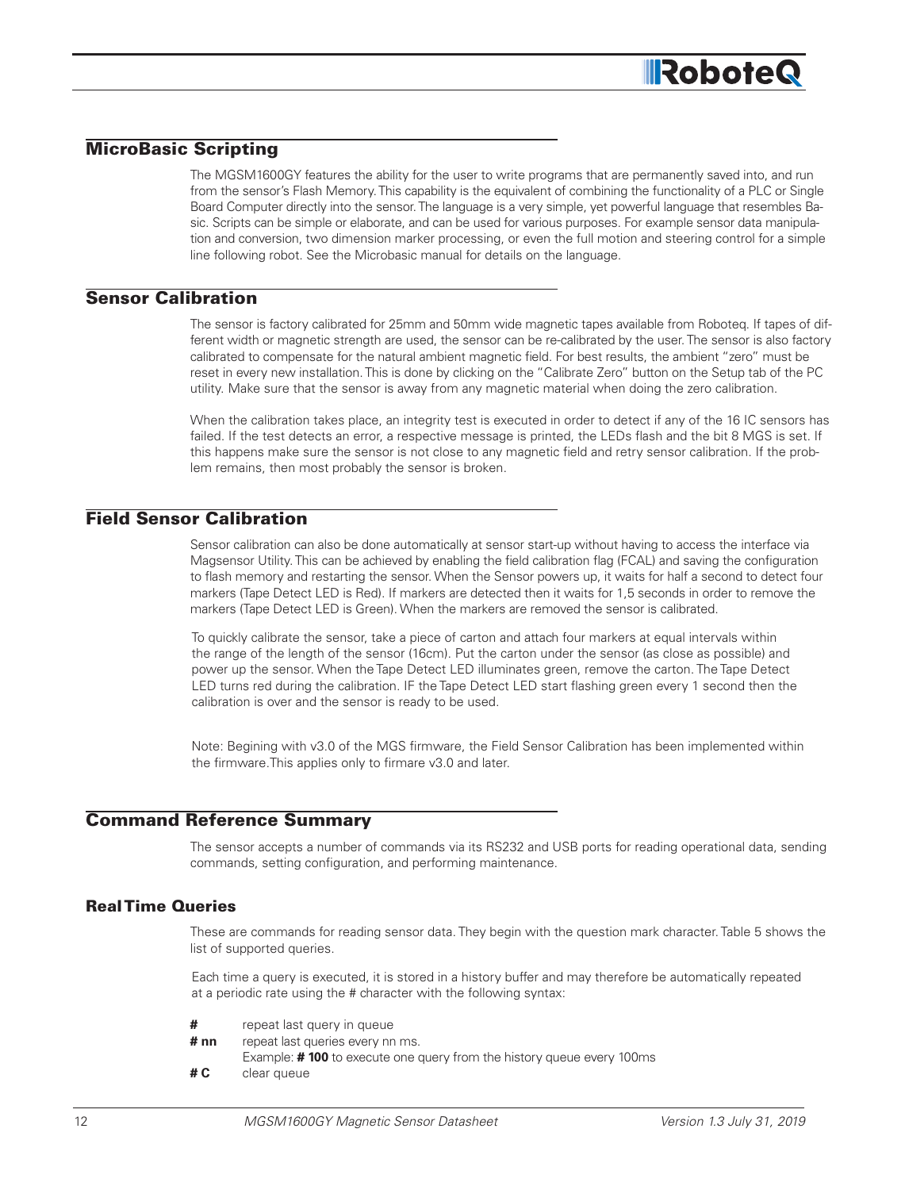# **IRobote**

# MicroBasic Scripting

The MGSM1600GY features the ability for the user to write programs that are permanently saved into, and run from the sensor's Flash Memory. This capability is the equivalent of combining the functionality of a PLC or Single Board Computer directly into the sensor. The language is a very simple, yet powerful language that resembles Basic. Scripts can be simple or elaborate, and can be used for various purposes. For example sensor data manipulation and conversion, two dimension marker processing, or even the full motion and steering control for a simple line following robot. See the Microbasic manual for details on the language.

#### Sensor Calibration

The sensor is factory calibrated for 25mm and 50mm wide magnetic tapes available from Roboteq. If tapes of different width or magnetic strength are used, the sensor can be re-calibrated by the user. The sensor is also factory calibrated to compensate for the natural ambient magnetic field. For best results, the ambient "zero" must be reset in every new installation. This is done by clicking on the "Calibrate Zero" button on the Setup tab of the PC utility. Make sure that the sensor is away from any magnetic material when doing the zero calibration.

When the calibration takes place, an integrity test is executed in order to detect if any of the 16 IC sensors has failed. If the test detects an error, a respective message is printed, the LEDs flash and the bit 8 MGS is set. If this happens make sure the sensor is not close to any magnetic field and retry sensor calibration. If the problem remains, then most probably the sensor is broken.

# Field Sensor Calibration

Sensor calibration can also be done automatically at sensor start-up without having to access the interface via Magsensor Utility. This can be achieved by enabling the field calibration flag (FCAL) and saving the configuration to flash memory and restarting the sensor. When the Sensor powers up, it waits for half a second to detect four markers (Tape Detect LED is Red). If markers are detected then it waits for 1,5 seconds in order to remove the markers (Tape Detect LED is Green). When the markers are removed the sensor is calibrated.

To quickly calibrate the sensor, take a piece of carton and attach four markers at equal intervals within the range of the length of the sensor (16cm). Put the carton under the sensor (as close as possible) and power up the sensor. When the Tape Detect LED illuminates green, remove the carton. The Tape Detect LED turns red during the calibration. IF the Tape Detect LED start flashing green every 1 second then the calibration is over and the sensor is ready to be used.

Note: Begining with v3.0 of the MGS firmware, the Field Sensor Calibration has been implemented within the firmware.This applies only to firmare v3.0 and later.

# Command Reference Summary

The sensor accepts a number of commands via its RS232 and USB ports for reading operational data, sending commands, setting configuration, and performing maintenance.

## Real Time Queries

These are commands for reading sensor data. They begin with the question mark character. Table 5 shows the list of supported queries.

Each time a query is executed, it is stored in a history buffer and may therefore be automatically repeated at a periodic rate using the # character with the following syntax:

| #      | repeat last query in queue                                                   |
|--------|------------------------------------------------------------------------------|
| # $nn$ | repeat last queries every nn ms.                                             |
|        | Example: <b>#100</b> to execute one query from the history queue every 100ms |
| # C    | clear queue                                                                  |
|        |                                                                              |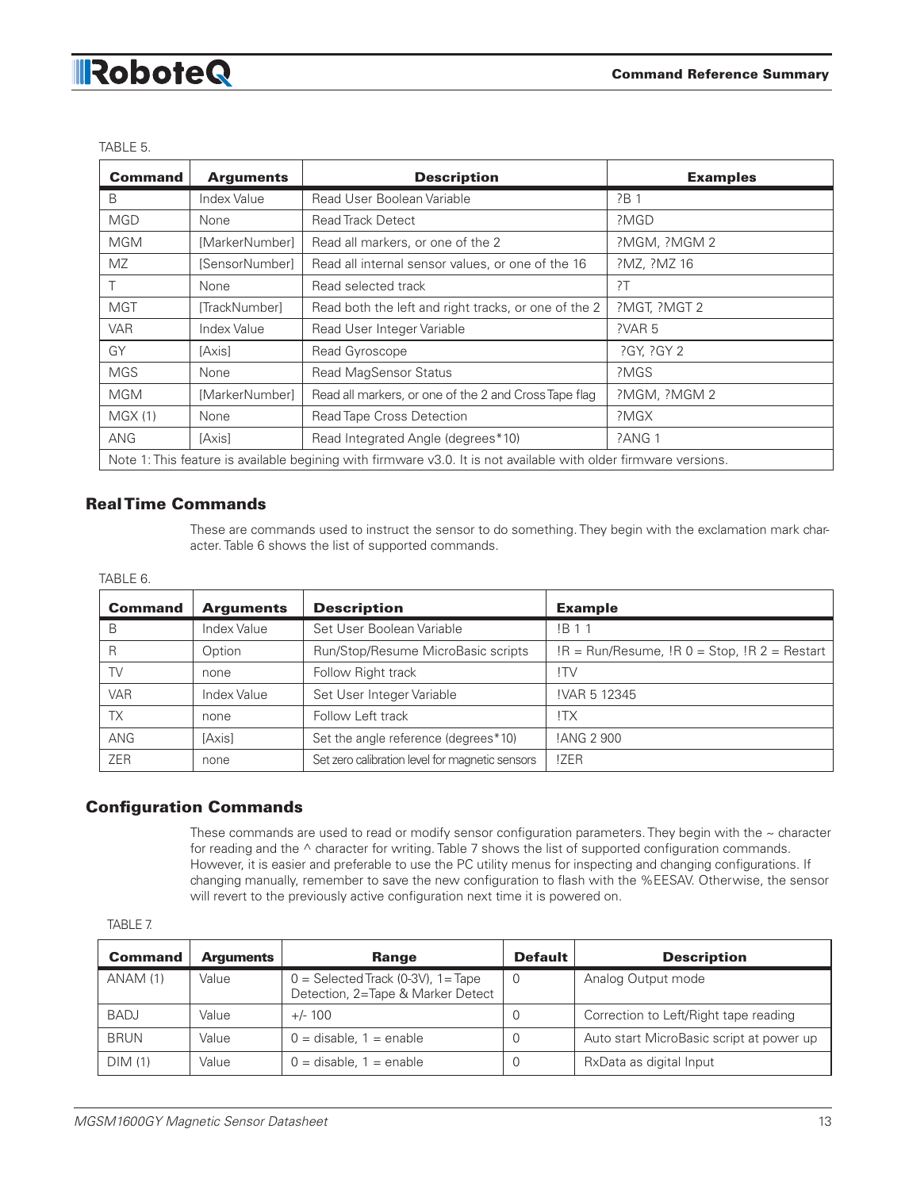# RoboteQ

| Command                                                                                                          | <b>Arguments</b> | <b>Description</b>                                    | <b>Examples</b> |
|------------------------------------------------------------------------------------------------------------------|------------------|-------------------------------------------------------|-----------------|
| B                                                                                                                | Index Value      | Read User Boolean Variable                            | ?B 1            |
| <b>MGD</b>                                                                                                       | None             | <b>Read Track Detect</b>                              | ?MGD            |
| <b>MGM</b>                                                                                                       | [MarkerNumber]   | Read all markers, or one of the 2                     | ?MGM, ?MGM 2    |
| MZ.                                                                                                              | [SensorNumber]   | Read all internal sensor values, or one of the 16     | ?MZ, ?MZ 16     |
|                                                                                                                  | None             | Read selected track                                   | 2T              |
| <b>MGT</b>                                                                                                       | [TrackNumber]    | Read both the left and right tracks, or one of the 2  | ?MGT, ?MGT 2    |
| <b>VAR</b>                                                                                                       | Index Value      | Read User Integer Variable                            | ?VAR 5          |
| GY                                                                                                               | [Axis]           | Read Gyroscope                                        | ?GY, ?GY 2      |
| <b>MGS</b>                                                                                                       | None             | <b>Read MagSensor Status</b>                          | ?MGS            |
| <b>MGM</b>                                                                                                       | [MarkerNumber]   | Read all markers, or one of the 2 and Cross Tape flag | ?MGM, ?MGM 2    |
| MGX(1)                                                                                                           | None             | Read Tape Cross Detection                             | ?MGX            |
| <b>ANG</b>                                                                                                       | [Axis]           | Read Integrated Angle (degrees*10)                    | ?ANG 1          |
| Note 1: This feature is available begining with firmware v3.0. It is not available with older firmware versions. |                  |                                                       |                 |

#### TABLE 5.

### Real Time Commands

These are commands used to instruct the sensor to do something. They begin with the exclamation mark character. Table 6 shows the list of supported commands.

#### TABLE 6.

| <b>Command</b> | <b>Arguments</b> | <b>Description</b>                              | <b>Example</b>                                       |
|----------------|------------------|-------------------------------------------------|------------------------------------------------------|
| В              | Index Value      | Set User Boolean Variable                       | <b>IB11</b>                                          |
| R              | Option           | Run/Stop/Resume MicroBasic scripts              | $IR = Run/Resume$ , $IR 0 = Stop$ , $IR 2 = Restart$ |
| TV             | none             | Follow Right track                              | !TV                                                  |
| <b>VAR</b>     | Index Value      | Set User Integer Variable                       | !VAR 5 12345                                         |
| ТX             | none             | Follow Left track                               | !TX                                                  |
| ANG            | [Axis]           | Set the angle reference (degrees*10)            | !ANG 2 900                                           |
| <b>ZER</b>     | none             | Set zero calibration level for magnetic sensors | !ZER                                                 |

#### Configuration Commands

These commands are used to read or modify sensor configuration parameters. They begin with the  $\sim$  character for reading and the  $\wedge$  character for writing. Table 7 shows the list of supported configuration commands. However, it is easier and preferable to use the PC utility menus for inspecting and changing configurations. If changing manually, remember to save the new configuration to flash with the %EESAV. Otherwise, the sensor will revert to the previously active configuration next time it is powered on.

| <b>Command</b> | <b>Arguments</b> | Range                                                                      | <b>Default</b> | <b>Description</b>                       |
|----------------|------------------|----------------------------------------------------------------------------|----------------|------------------------------------------|
| ANAM (1)       | Value            | $0 =$ Selected Track (0-3V), 1 = Tape<br>Detection, 2=Tape & Marker Detect | - 0            | Analog Output mode                       |
| <b>BADJ</b>    | Value            | $+/- 100$                                                                  | - 6            | Correction to Left/Right tape reading    |
| <b>BRUN</b>    | Value            | $0 =$ disable, $1 =$ enable                                                | ر)             | Auto start MicroBasic script at power up |
| DIM(1)         | Value            | $0 =$ disable, $1 =$ enable                                                |                | RxData as digital Input                  |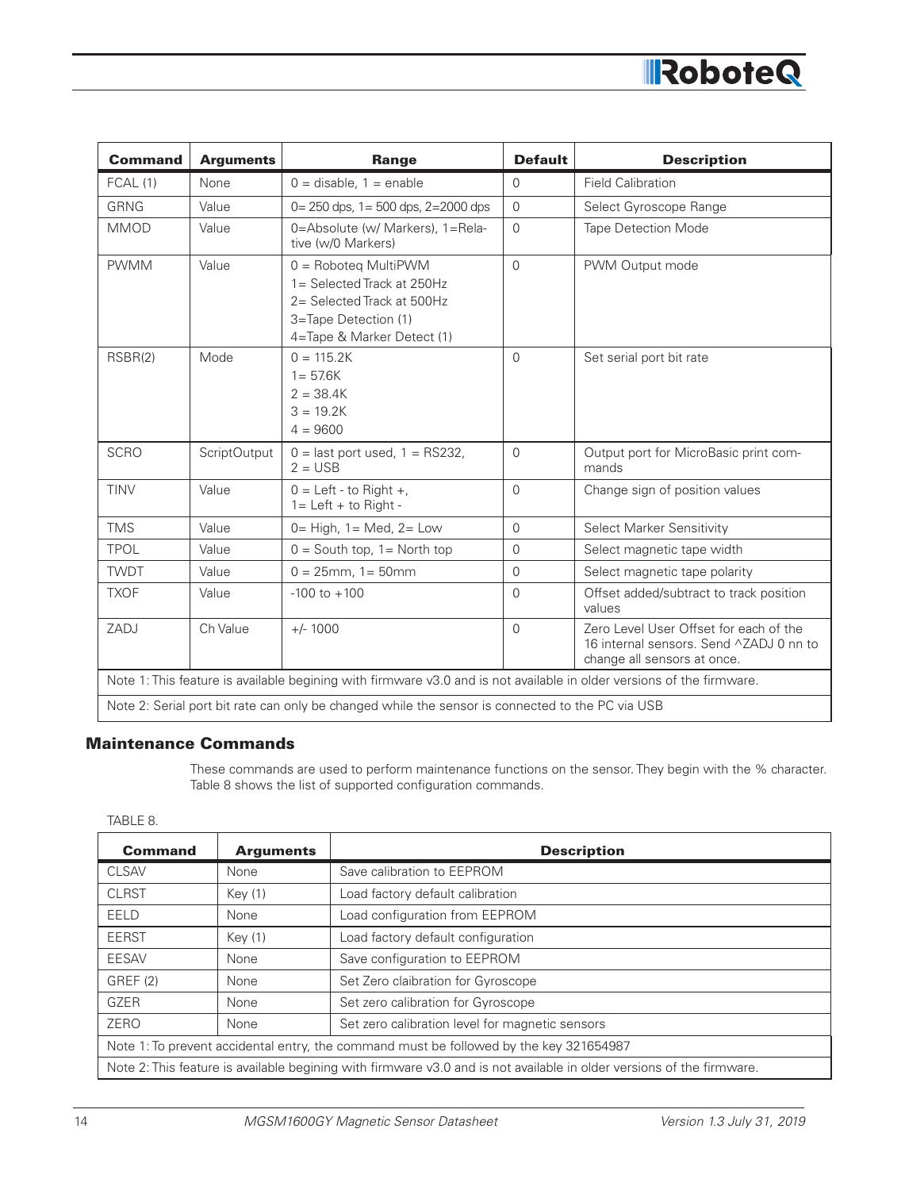

| <b>Command</b>                                                                                                        | <b>Arguments</b>    | Range                                                                                                                                            | <b>Default</b> | <b>Description</b>                                                                                               |
|-----------------------------------------------------------------------------------------------------------------------|---------------------|--------------------------------------------------------------------------------------------------------------------------------------------------|----------------|------------------------------------------------------------------------------------------------------------------|
| FCAL(1)                                                                                                               | None                | $0 =$ disable, $1 =$ enable                                                                                                                      | $\Omega$       | <b>Field Calibration</b>                                                                                         |
| <b>GRNG</b>                                                                                                           | Value               | $0 = 250$ dps, $1 = 500$ dps, $2 = 2000$ dps                                                                                                     | $\Omega$       | Select Gyroscope Range                                                                                           |
| <b>MMOD</b>                                                                                                           | Value               | 0=Absolute (w/ Markers), 1=Rela-<br>tive (w/0 Markers)                                                                                           | $\Omega$       | <b>Tape Detection Mode</b>                                                                                       |
| <b>PWMM</b>                                                                                                           | Value               | $0 = \text{Roboteq Multi}$ PWM<br>1= Selected Track at 250Hz<br>2= Selected Track at 500Hz<br>3=Tape Detection (1)<br>4=Tape & Marker Detect (1) | $\Omega$       | PWM Output mode                                                                                                  |
| RSBR(2)                                                                                                               | Mode                | $0 = 115.2K$<br>$1 = 57.6K$<br>$2 = 38.4K$<br>$3 = 19.2K$<br>$4 = 9600$                                                                          | $\Omega$       | Set serial port bit rate                                                                                         |
| <b>SCRO</b>                                                                                                           | <b>ScriptOutput</b> | $0 =$ last port used, $1 =$ RS232,<br>$2 = USB$                                                                                                  | $\overline{0}$ | Output port for MicroBasic print com-<br>mands                                                                   |
| <b>TINV</b>                                                                                                           | Value               | $0 = \text{Left} - \text{to Right} +$<br>$1 = \text{Left} + \text{to Right} -$                                                                   | $\Omega$       | Change sign of position values                                                                                   |
| <b>TMS</b>                                                                                                            | Value               | $0=$ High, $1=$ Med, $2=$ Low                                                                                                                    | $\Omega$       | <b>Select Marker Sensitivity</b>                                                                                 |
| <b>TPOL</b>                                                                                                           | Value               | $0 =$ South top, $1 =$ North top                                                                                                                 | $\mathbf 0$    | Select magnetic tape width                                                                                       |
| <b>TWDT</b>                                                                                                           | Value               | $0 = 25$ mm, 1 = 50 mm                                                                                                                           | $\overline{0}$ | Select magnetic tape polarity                                                                                    |
| <b>TXOF</b>                                                                                                           | Value               | $-100$ to $+100$                                                                                                                                 | $\Omega$       | Offset added/subtract to track position<br>values                                                                |
| ZADJ                                                                                                                  | Ch Value            | $+/- 1000$                                                                                                                                       | $\Omega$       | Zero Level User Offset for each of the<br>16 internal sensors. Send ^ZADJ 0 nn to<br>change all sensors at once. |
| Note 1: This feature is available begining with firmware v3.0 and is not available in older versions of the firmware. |                     |                                                                                                                                                  |                |                                                                                                                  |
| Note 2: Serial port bit rate can only be changed while the sensor is connected to the PC via USB                      |                     |                                                                                                                                                  |                |                                                                                                                  |

### Maintenance Commands

These commands are used to perform maintenance functions on the sensor. They begin with the % character. Table 8 shows the list of supported configuration commands.

TABLE 8.

| <b>Command</b>                                                                                                        | <b>Arguments</b> | <b>Description</b>                              |  |
|-----------------------------------------------------------------------------------------------------------------------|------------------|-------------------------------------------------|--|
| CLSAV                                                                                                                 | None             | Save calibration to EEPROM                      |  |
| <b>CLRST</b>                                                                                                          | Key(1)           | Load factory default calibration                |  |
| EELD                                                                                                                  | None             | Load configuration from EEPROM                  |  |
| <b>EERST</b>                                                                                                          | Key(1)           | Load factory default configuration              |  |
| EESAV                                                                                                                 | None             | Save configuration to EEPROM                    |  |
| <b>GREF (2)</b>                                                                                                       | None             | Set Zero claibration for Gyroscope              |  |
| <b>GZER</b>                                                                                                           | None             | Set zero calibration for Gyroscope              |  |
| ZERO                                                                                                                  | None             | Set zero calibration level for magnetic sensors |  |
| Note 1: To prevent accidental entry, the command must be followed by the key 321654987                                |                  |                                                 |  |
| Note 2: This feature is available begining with firmware v3.0 and is not available in older versions of the firmware. |                  |                                                 |  |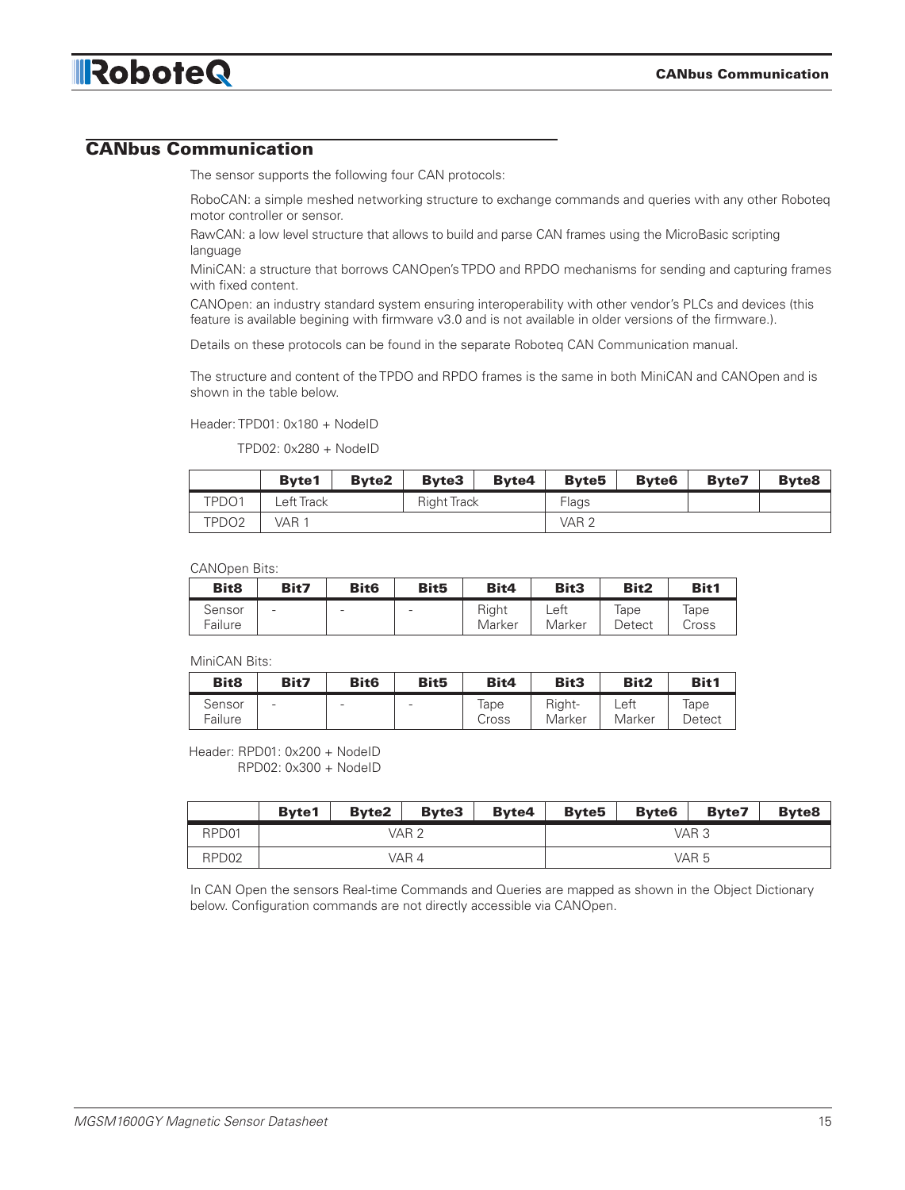

# CANbus Communication

The sensor supports the following four CAN protocols:

RoboCAN: a simple meshed networking structure to exchange commands and queries with any other Roboteq motor controller or sensor.

RawCAN: a low level structure that allows to build and parse CAN frames using the MicroBasic scripting language

MiniCAN: a structure that borrows CANOpen's TPDO and RPDO mechanisms for sending and capturing frames with fixed content.

CANOpen: an industry standard system ensuring interoperability with other vendor's PLCs and devices (this feature is available begining with firmware v3.0 and is not available in older versions of the firmware.).

Details on these protocols can be found in the separate Roboteq CAN Communication manual.

The structure and content of the TPDO and RPDO frames is the same in both MiniCAN and CANOpen and is shown in the table below.

#### Header: TPD01: 0x180 + NodeID

TPD02: 0x280 + NodeID

|       | <b>Byte1</b> | <b>Byte2</b> | <b>Byte3</b>       | <b>Byte4</b> | <b>Byte5</b>     | <b>Byte6</b> | <b>Byte7</b> | <b>Byte8</b> |
|-------|--------------|--------------|--------------------|--------------|------------------|--------------|--------------|--------------|
| TPDO1 | Left Track   |              | <b>Right Track</b> |              | Flags            |              |              |              |
| TPDO2 | VAR 1        |              |                    |              | VAR <sub>2</sub> |              |              |              |

CANOpen Bits:

| Bit <sub>8</sub>  | Bit7                     | Bit <sub>6</sub>         | Bit <sub>5</sub> | Bit4            | Bit <sub>3</sub> | Bit2           | Bit1          |
|-------------------|--------------------------|--------------------------|------------------|-----------------|------------------|----------------|---------------|
| Sensor<br>Failure | $\overline{\phantom{0}}$ | $\overline{\phantom{a}}$ |                  | Right<br>Marker | Left<br>Marker   | lape<br>Detect | Tape<br>Cross |

MiniCAN Bits:

| Bit <sub>8</sub>  | Bit7                     | Bit <sub>6</sub> | Bit <sub>5</sub>         | Bit4          | Bit3             | Bit2           | Bit1           |
|-------------------|--------------------------|------------------|--------------------------|---------------|------------------|----------------|----------------|
| Sensor<br>Failure | $\overline{\phantom{0}}$ | -                | $\overline{\phantom{a}}$ | lape<br>Cross | Right-<br>Marker | Left<br>Marker | lape<br>Detect |

Header: RPD01: 0x200 + NodeID RPD02: 0x300 + NodeID

|                   | <b>Byte1</b> | <b>Byte2</b> | <b>Byte3</b> | <b>Byte4</b> | <b>Byte5</b> | <b>Byte6</b> | <b>Byte7</b> | <b>Byte8</b> |  |
|-------------------|--------------|--------------|--------------|--------------|--------------|--------------|--------------|--------------|--|
| RPD <sub>01</sub> |              |              | VAR 2        |              | VAR 3        |              |              |              |  |
| RPD <sub>02</sub> |              |              | VAR 4        |              | VAR 5        |              |              |              |  |

In CAN Open the sensors Real-time Commands and Queries are mapped as shown in the Object Dictionary below. Configuration commands are not directly accessible via CANOpen.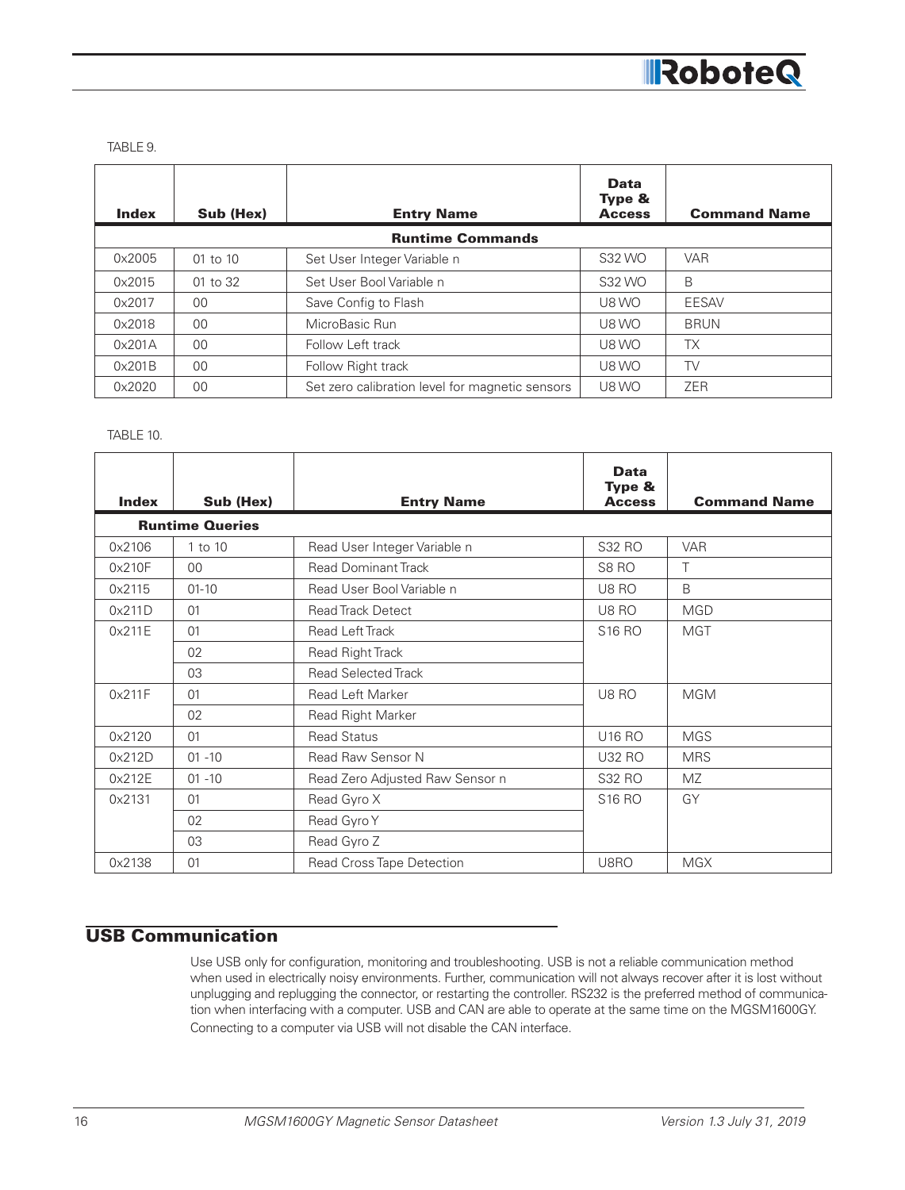

TABLE 9.

| <b>Index</b> | Sub (Hex)    | <b>Entry Name</b>                               | <b>Data</b><br>Type &<br><b>Access</b> | <b>Command Name</b> |
|--------------|--------------|-------------------------------------------------|----------------------------------------|---------------------|
|              |              | <b>Runtime Commands</b>                         |                                        |                     |
| 0x2005       | $01$ to $10$ | Set User Integer Variable n                     | S32 WO                                 | <b>VAR</b>          |
| 0x2015       | 01 to 32     | Set User Bool Variable n                        | S32 WO                                 | B                   |
| 0x2017       | 00           | Save Config to Flash                            | U8 WO                                  | EESAV               |
| 0x2018       | 00           | MicroBasic Run                                  | U8 WO                                  | <b>BRUN</b>         |
| 0x201A       | 00           | Follow Left track                               | U8 WO                                  | <b>TX</b>           |
| 0x201B       | 00           | Follow Right track                              | U8 WO                                  | <b>TV</b>           |
| 0x2020       | 00           | Set zero calibration level for magnetic sensors | U8 WO                                  | <b>ZER</b>          |

TABLE 10.

| <b>Index</b> | Sub (Hex)              | <b>Entry Name</b>               | <b>Data</b><br>Type &<br><b>Access</b> | <b>Command Name</b> |
|--------------|------------------------|---------------------------------|----------------------------------------|---------------------|
|              | <b>Runtime Queries</b> |                                 |                                        |                     |
| 0x2106       | 1 to 10                | Read User Integer Variable n    | S32 RO                                 | <b>VAR</b>          |
| 0x210F       | 00                     | <b>Read Dominant Track</b>      | S8 <sub>RO</sub>                       | Τ                   |
| 0x2115       | $01 - 10$              | Read User Bool Variable n       | <b>U8 RO</b>                           | B                   |
| 0x211D       | 01                     | <b>Read Track Detect</b>        | U8 RO                                  | <b>MGD</b>          |
| 0x211E       | 01                     | Read Left Track                 | S16 RO                                 | <b>MGT</b>          |
|              | 02                     | Read Right Track                |                                        |                     |
|              | 03                     | <b>Read Selected Track</b>      |                                        |                     |
| 0x211F       | 01                     | <b>Read Left Marker</b>         | U8 RO                                  | <b>MGM</b>          |
|              | 02                     | Read Right Marker               |                                        |                     |
| 0x2120       | 01                     | <b>Read Status</b>              | <b>U16 RO</b>                          | <b>MGS</b>          |
| 0x212D       | $01 - 10$              | Read Raw Sensor N               | <b>U32 RO</b>                          | <b>MRS</b>          |
| 0x212E       | $01 - 10$              | Read Zero Adjusted Raw Sensor n | S32 RO                                 | <b>MZ</b>           |
| 0x2131       | 01                     | Read Gyro X                     | <b>S16 RO</b>                          | GY                  |
|              | 02                     | Read Gyro Y                     |                                        |                     |
|              | 03                     | Read Gyro Z                     |                                        |                     |
| 0x2138       | 01                     | Read Cross Tape Detection       | U8RO                                   | <b>MGX</b>          |

# USB Communication

Use USB only for configuration, monitoring and troubleshooting. USB is not a reliable communication method when used in electrically noisy environments. Further, communication will not always recover after it is lost without unplugging and replugging the connector, or restarting the controller. RS232 is the preferred method of communication when interfacing with a computer. USB and CAN are able to operate at the same time on the MGSM1600GY. Connecting to a computer via USB will not disable the CAN interface.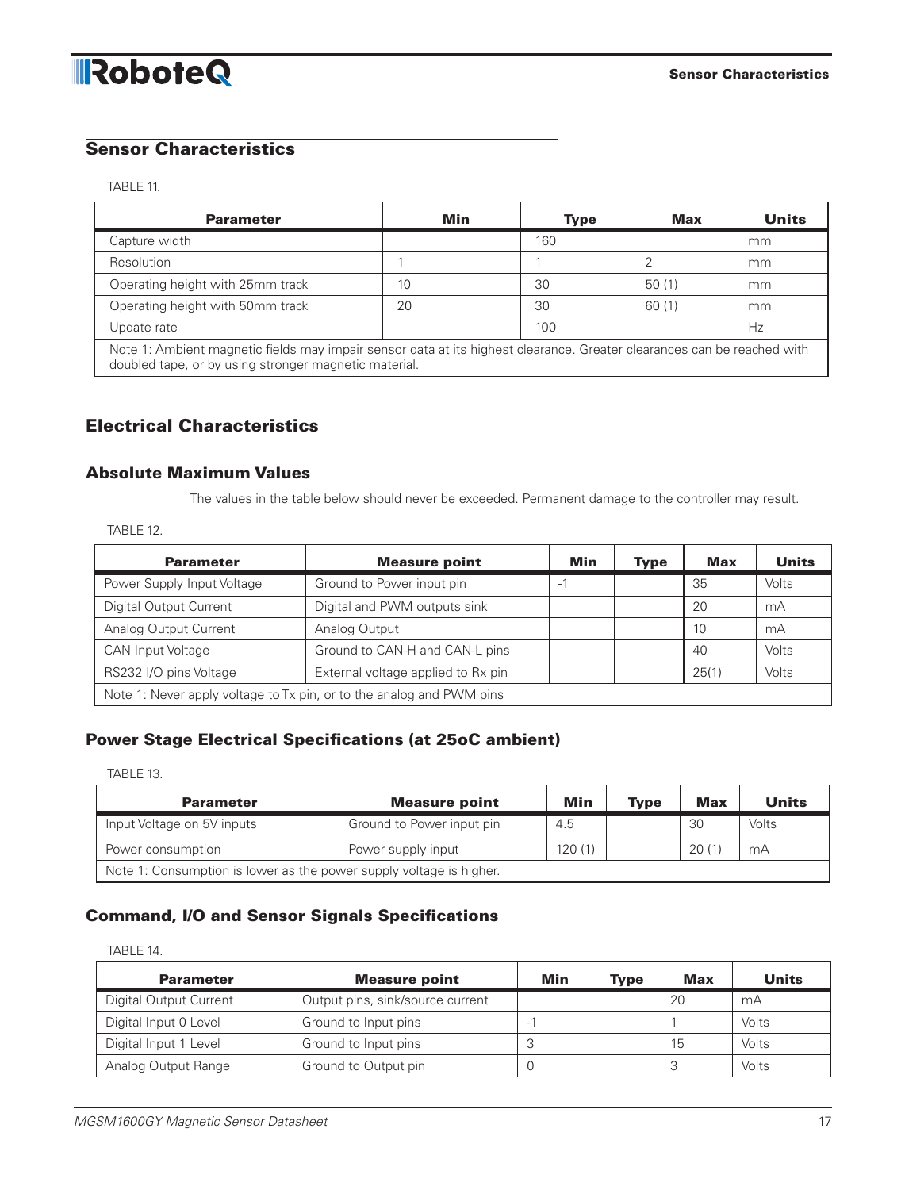# Sensor Characteristics

#### TABLE 11.

| <b>Parameter</b>                                                                                                        | Min | <b>Type</b> | Max   | <b>Units</b> |  |  |
|-------------------------------------------------------------------------------------------------------------------------|-----|-------------|-------|--------------|--|--|
| Capture width                                                                                                           |     | 160         |       | mm           |  |  |
| Resolution                                                                                                              |     |             |       | mm           |  |  |
| Operating height with 25mm track                                                                                        | 10  | 30          | 50(1) | mm           |  |  |
| Operating height with 50mm track                                                                                        | 20  | 30          | 60(1) | mm           |  |  |
| Update rate                                                                                                             |     | 100         |       | Hz           |  |  |
| Note 1: Ambient magnetic fields may impair sensor data at its highest clearance. Greater clearances can be reached with |     |             |       |              |  |  |

Note 1: Ambient magnetic fields may impair sensor data at its highest clearance. Greater clearances can be reached with doubled tape, or by using stronger magnetic material.

# Electrical Characteristics

#### Absolute Maximum Values

The values in the table below should never be exceeded. Permanent damage to the controller may result.

TABLE 12.

| <b>Parameter</b>                                                     | <b>Measure point</b>               | Min | <b>Type</b> | Max   | <b>Units</b> |  |
|----------------------------------------------------------------------|------------------------------------|-----|-------------|-------|--------------|--|
| Power Supply Input Voltage                                           | Ground to Power input pin          | -   |             | 35    | Volts        |  |
| <b>Digital Output Current</b>                                        | Digital and PWM outputs sink       |     |             | 20    | mA           |  |
| Analog Output Current                                                | Analog Output                      |     |             | 10    | mA           |  |
| <b>CAN Input Voltage</b>                                             | Ground to CAN-H and CAN-L pins     |     |             | 40    | Volts        |  |
| RS232 I/O pins Voltage                                               | External voltage applied to Rx pin |     |             | 25(1) | Volts        |  |
| Note 1: Never apply voltage to Tx pin, or to the analog and PWM pins |                                    |     |             |       |              |  |

# Power Stage Electrical Specifications (at 25oC ambient)

#### TABLE 13.

| <b>Parameter</b>                                                    | <b>Measure point</b>      | Min    | <b>Type</b> | <b>Max</b> | <b>Units</b> |  |
|---------------------------------------------------------------------|---------------------------|--------|-------------|------------|--------------|--|
| Input Voltage on 5V inputs                                          | Ground to Power input pin | 4.5    |             | 30         | Volts        |  |
| Power consumption                                                   | Power supply input        | 120(1) |             | 20(1)      | mA           |  |
| Note 1: Consumption is lower as the power supply voltage is higher. |                           |        |             |            |              |  |

# Command, I/O and Sensor Signals Specifications

TABLE 14.

| <b>Parameter</b>       | <b>Measure point</b>             | Min | Type | <b>Max</b> | <b>Units</b> |
|------------------------|----------------------------------|-----|------|------------|--------------|
| Digital Output Current | Output pins, sink/source current |     |      | 20         | mA           |
| Digital Input 0 Level  | Ground to Input pins             | -   |      |            | Volts        |
| Digital Input 1 Level  | Ground to Input pins             | ◡   |      | 15         | Volts        |
| Analog Output Range    | Ground to Output pin             |     |      | 3          | Volts        |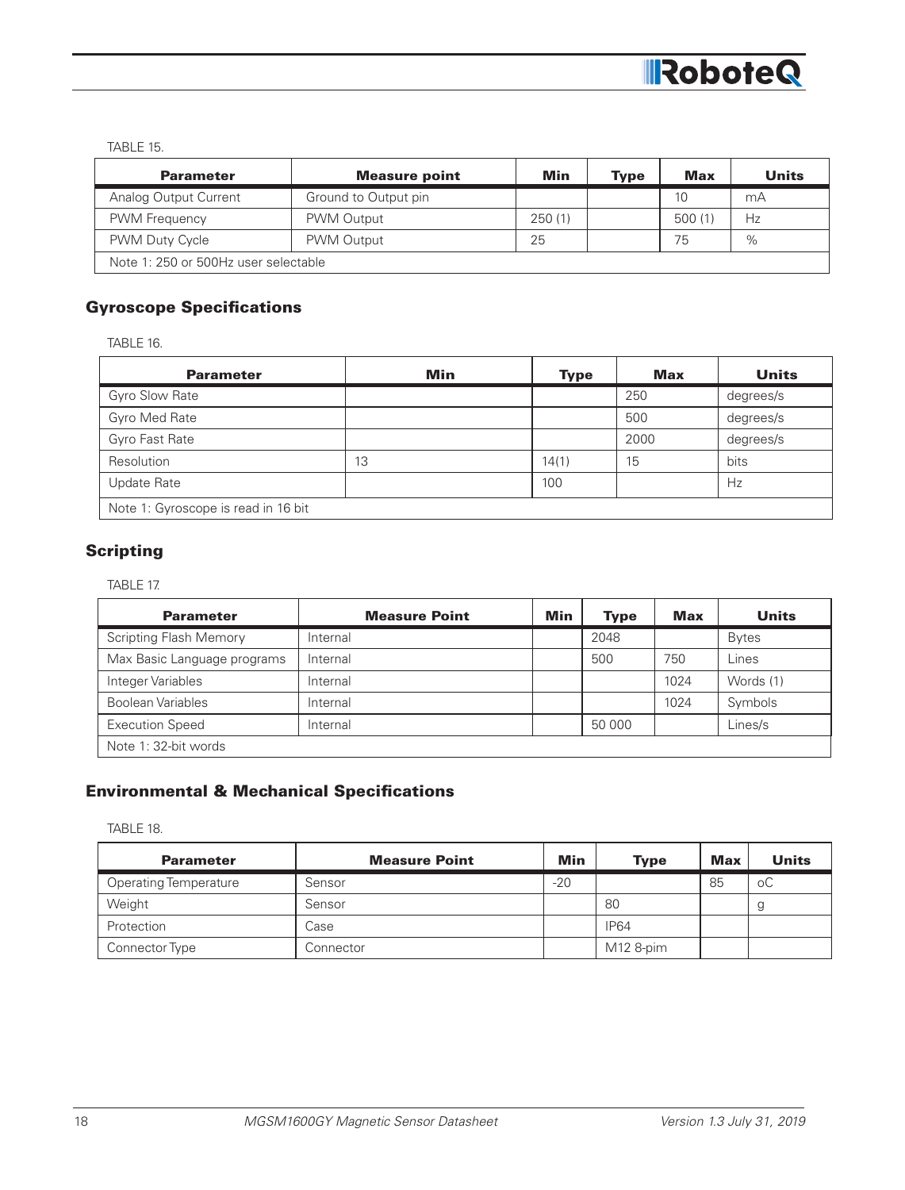

TABLE 15.

| <b>Parameter</b>                     | <b>Measure point</b> | Min     | <b>Type</b> | <b>Max</b> | Units |
|--------------------------------------|----------------------|---------|-------------|------------|-------|
| Analog Output Current                | Ground to Output pin |         |             | 10         | mА    |
| <b>PWM Frequency</b>                 | PWM Output           | 250 (1) |             | 500(1)     | Hz    |
| <b>PWM Duty Cycle</b>                | PWM Output           | 25      |             | 75         | $\%$  |
| Note 1: 250 or 500Hz user selectable |                      |         |             |            |       |

# Gyroscope Specifications

TABLE 16.

| <b>Parameter</b>                    | Min | <b>Type</b> | Max  | <b>Units</b> |
|-------------------------------------|-----|-------------|------|--------------|
| Gyro Slow Rate                      |     |             | 250  | degrees/s    |
| Gyro Med Rate                       |     |             | 500  | degrees/s    |
| Gyro Fast Rate                      |     |             | 2000 | degrees/s    |
| Resolution                          | 13  | 14(1)       | 15   | bits         |
| Update Rate                         |     | 100         |      | Hz           |
| Note 1: Gyroscope is read in 16 bit |     |             |      |              |

# **Scripting**

TABLE 17.

| <b>Parameter</b>              | <b>Measure Point</b> | Min | <b>Type</b> | <b>Max</b> | <b>Units</b> |
|-------------------------------|----------------------|-----|-------------|------------|--------------|
| <b>Scripting Flash Memory</b> | Internal             |     | 2048        |            | <b>Bytes</b> |
| Max Basic Language programs   | Internal             |     | 500         | 750        | Lines        |
| Integer Variables             | Internal             |     |             | 1024       | Words (1)    |
| <b>Boolean Variables</b>      | Internal             |     |             | 1024       | Symbols      |
| <b>Execution Speed</b>        | Internal             |     | 50 000      |            | Lines/s      |
| Note 1: 32-bit words          |                      |     |             |            |              |

# Environmental & Mechanical Specifications

TABLE 18.

| <b>Parameter</b>             | <b>Measure Point</b> | Min   | <b>Type</b> | <b>Max</b> | <b>Units</b> |
|------------------------------|----------------------|-------|-------------|------------|--------------|
| <b>Operating Temperature</b> | Sensor               | $-20$ |             | 85         | оC           |
| Weight                       | Sensor               |       | 80          |            | у            |
| Protection                   | Case                 |       | <b>IP64</b> |            |              |
| Connector Type               | Connector            |       | M12 8-pim   |            |              |